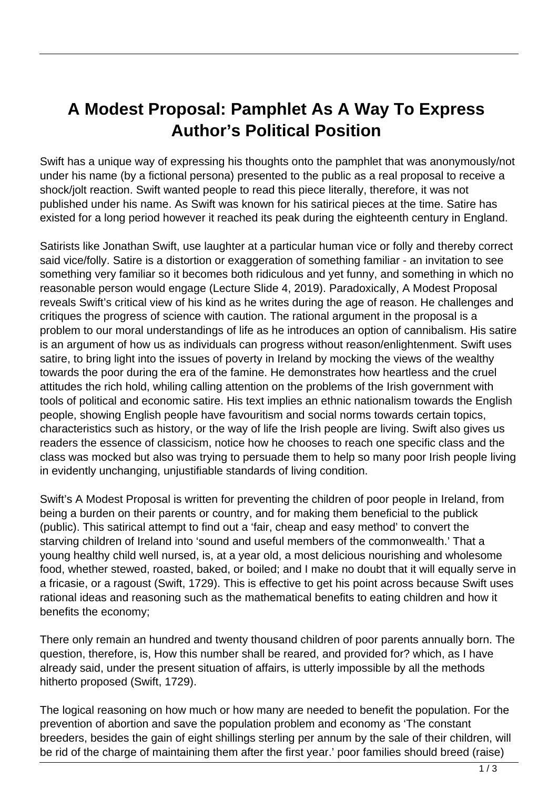## **A Modest Proposal: Pamphlet As A Way To Express Author's Political Position**

Swift has a unique way of expressing his thoughts onto the pamphlet that was anonymously/not under his name (by a fictional persona) presented to the public as a real proposal to receive a shock/jolt reaction. Swift wanted people to read this piece literally, therefore, it was not published under his name. As Swift was known for his satirical pieces at the time. Satire has existed for a long period however it reached its peak during the eighteenth century in England.

Satirists like Jonathan Swift, use laughter at a particular human vice or folly and thereby correct said vice/folly. Satire is a distortion or exaggeration of something familiar - an invitation to see something very familiar so it becomes both ridiculous and yet funny, and something in which no reasonable person would engage (Lecture Slide 4, 2019). Paradoxically, A Modest Proposal reveals Swift's critical view of his kind as he writes during the age of reason. He challenges and critiques the progress of science with caution. The rational argument in the proposal is a problem to our moral understandings of life as he introduces an option of cannibalism. His satire is an argument of how us as individuals can progress without reason/enlightenment. Swift uses satire, to bring light into the issues of poverty in Ireland by mocking the views of the wealthy towards the poor during the era of the famine. He demonstrates how heartless and the cruel attitudes the rich hold, whiling calling attention on the problems of the Irish government with tools of political and economic satire. His text implies an ethnic nationalism towards the English people, showing English people have favouritism and social norms towards certain topics, characteristics such as history, or the way of life the Irish people are living. Swift also gives us readers the essence of classicism, notice how he chooses to reach one specific class and the class was mocked but also was trying to persuade them to help so many poor Irish people living in evidently unchanging, unjustifiable standards of living condition.

Swift's A Modest Proposal is written for preventing the children of poor people in Ireland, from being a burden on their parents or country, and for making them beneficial to the publick (public). This satirical attempt to find out a 'fair, cheap and easy method' to convert the starving children of Ireland into 'sound and useful members of the commonwealth.' That a young healthy child well nursed, is, at a year old, a most delicious nourishing and wholesome food, whether stewed, roasted, baked, or boiled; and I make no doubt that it will equally serve in a fricasie, or a ragoust (Swift, 1729). This is effective to get his point across because Swift uses rational ideas and reasoning such as the mathematical benefits to eating children and how it benefits the economy;

There only remain an hundred and twenty thousand children of poor parents annually born. The question, therefore, is, How this number shall be reared, and provided for? which, as I have already said, under the present situation of affairs, is utterly impossible by all the methods hitherto proposed (Swift, 1729).

The logical reasoning on how much or how many are needed to benefit the population. For the prevention of abortion and save the population problem and economy as 'The constant breeders, besides the gain of eight shillings sterling per annum by the sale of their children, will be rid of the charge of maintaining them after the first year.' poor families should breed (raise)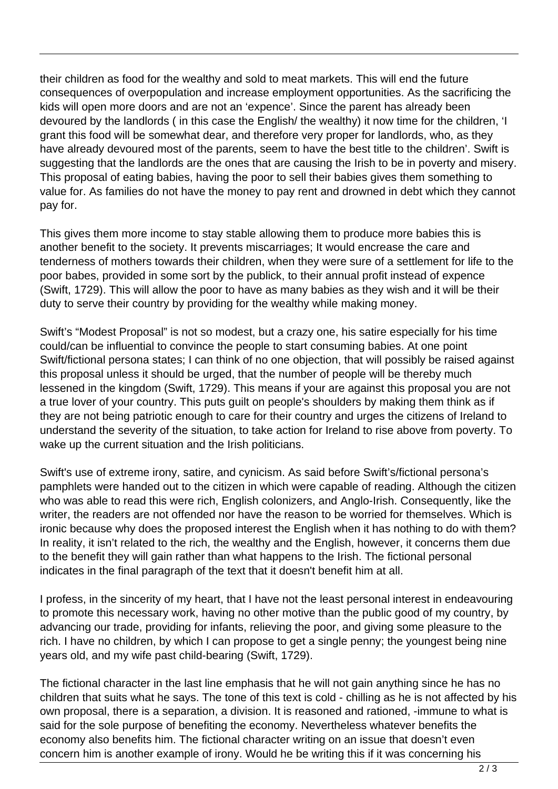their children as food for the wealthy and sold to meat markets. This will end the future consequences of overpopulation and increase employment opportunities. As the sacrificing the kids will open more doors and are not an 'expence'. Since the parent has already been devoured by the landlords ( in this case the English/ the wealthy) it now time for the children, 'I grant this food will be somewhat dear, and therefore very proper for landlords, who, as they have already devoured most of the parents, seem to have the best title to the children'. Swift is suggesting that the landlords are the ones that are causing the Irish to be in poverty and misery. This proposal of eating babies, having the poor to sell their babies gives them something to value for. As families do not have the money to pay rent and drowned in debt which they cannot pay for.

This gives them more income to stay stable allowing them to produce more babies this is another benefit to the society. It prevents miscarriages; It would encrease the care and tenderness of mothers towards their children, when they were sure of a settlement for life to the poor babes, provided in some sort by the publick, to their annual profit instead of expence (Swift, 1729). This will allow the poor to have as many babies as they wish and it will be their duty to serve their country by providing for the wealthy while making money.

Swift's "Modest Proposal" is not so modest, but a crazy one, his satire especially for his time could/can be influential to convince the people to start consuming babies. At one point Swift/fictional persona states; I can think of no one objection, that will possibly be raised against this proposal unless it should be urged, that the number of people will be thereby much lessened in the kingdom (Swift, 1729). This means if your are against this proposal you are not a true lover of your country. This puts guilt on people's shoulders by making them think as if they are not being patriotic enough to care for their country and urges the citizens of Ireland to understand the severity of the situation, to take action for Ireland to rise above from poverty. To wake up the current situation and the Irish politicians.

Swift's use of extreme irony, satire, and cynicism. As said before Swift's/fictional persona's pamphlets were handed out to the citizen in which were capable of reading. Although the citizen who was able to read this were rich, English colonizers, and Anglo-Irish. Consequently, like the writer, the readers are not offended nor have the reason to be worried for themselves. Which is ironic because why does the proposed interest the English when it has nothing to do with them? In reality, it isn't related to the rich, the wealthy and the English, however, it concerns them due to the benefit they will gain rather than what happens to the Irish. The fictional personal indicates in the final paragraph of the text that it doesn't benefit him at all.

I profess, in the sincerity of my heart, that I have not the least personal interest in endeavouring to promote this necessary work, having no other motive than the public good of my country, by advancing our trade, providing for infants, relieving the poor, and giving some pleasure to the rich. I have no children, by which I can propose to get a single penny; the youngest being nine years old, and my wife past child-bearing (Swift, 1729).

The fictional character in the last line emphasis that he will not gain anything since he has no children that suits what he says. The tone of this text is cold - chilling as he is not affected by his own proposal, there is a separation, a division. It is reasoned and rationed, -immune to what is said for the sole purpose of benefiting the economy. Nevertheless whatever benefits the economy also benefits him. The fictional character writing on an issue that doesn't even concern him is another example of irony. Would he be writing this if it was concerning his